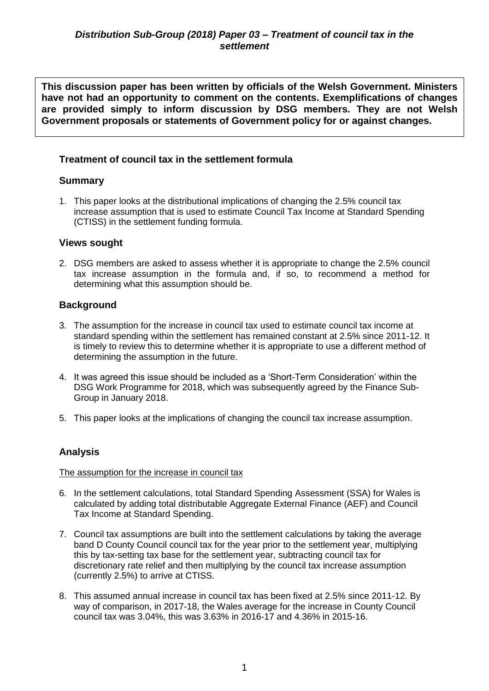**This discussion paper has been written by officials of the Welsh Government. Ministers have not had an opportunity to comment on the contents. Exemplifications of changes are provided simply to inform discussion by DSG members. They are not Welsh Government proposals or statements of Government policy for or against changes.**

# **Treatment of council tax in the settlement formula**

# **Summary**

1. This paper looks at the distributional implications of changing the 2.5% council tax increase assumption that is used to estimate Council Tax Income at Standard Spending (CTISS) in the settlement funding formula.

### **Views sought**

2. DSG members are asked to assess whether it is appropriate to change the 2.5% council tax increase assumption in the formula and, if so, to recommend a method for determining what this assumption should be.

### **Background**

- 3. The assumption for the increase in council tax used to estimate council tax income at standard spending within the settlement has remained constant at 2.5% since 2011-12. It is timely to review this to determine whether it is appropriate to use a different method of determining the assumption in the future.
- 4. It was agreed this issue should be included as a 'Short-Term Consideration' within the DSG Work Programme for 2018, which was subsequently agreed by the Finance Sub-Group in January 2018.
- 5. This paper looks at the implications of changing the council tax increase assumption.

### **Analysis**

#### The assumption for the increase in council tax

- 6. In the settlement calculations, total Standard Spending Assessment (SSA) for Wales is calculated by adding total distributable Aggregate External Finance (AEF) and Council Tax Income at Standard Spending.
- 7. Council tax assumptions are built into the settlement calculations by taking the average band D County Council council tax for the year prior to the settlement year, multiplying this by tax-setting tax base for the settlement year, subtracting council tax for discretionary rate relief and then multiplying by the council tax increase assumption (currently 2.5%) to arrive at CTISS.
- 8. This assumed annual increase in council tax has been fixed at 2.5% since 2011-12. By way of comparison, in 2017-18, the Wales average for the increase in County Council council tax was 3.04%, this was 3.63% in 2016-17 and 4.36% in 2015-16.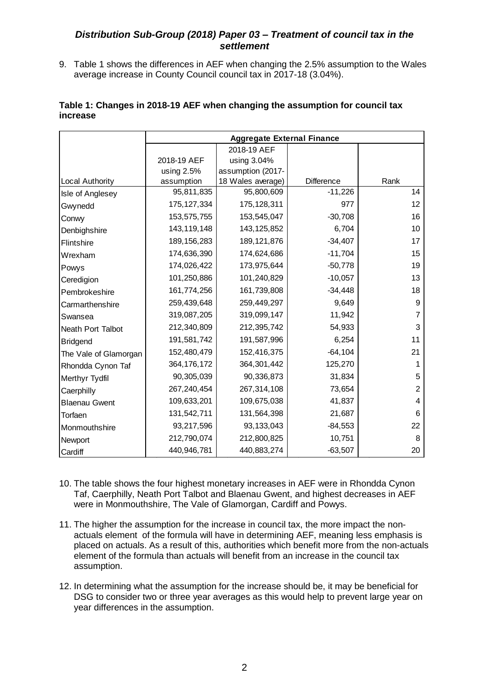#### *Distribution Sub-Group (2018) Paper 03 – Treatment of council tax in the settlement*

9. Table 1 shows the differences in AEF when changing the 2.5% assumption to the Wales average increase in County Council council tax in 2017-18 (3.04%).

|                          | <b>Aggregate External Finance</b> |                   |            |      |  |
|--------------------------|-----------------------------------|-------------------|------------|------|--|
|                          |                                   | 2018-19 AEF       |            |      |  |
|                          | 2018-19 AEF                       | using 3.04%       |            |      |  |
|                          | using $2.5%$                      | assumption (2017- |            |      |  |
| <b>Local Authority</b>   | assumption                        | 18 Wales average) | Difference | Rank |  |
| Isle of Anglesey         | 95,811,835                        | 95,800,609        | $-11,226$  | 14   |  |
| Gwynedd                  | 175, 127, 334                     | 175, 128, 311     | 977        | 12   |  |
| Conwy                    | 153,575,755                       | 153,545,047       | $-30,708$  | 16   |  |
| Denbighshire             | 143, 119, 148                     | 143, 125, 852     | 6,704      | 10   |  |
| Flintshire               | 189, 156, 283                     | 189, 121, 876     | $-34,407$  | 17   |  |
| Wrexham                  | 174,636,390                       | 174,624,686       | $-11,704$  | 15   |  |
| Powys                    | 174,026,422                       | 173,975,644       | $-50,778$  | 19   |  |
| Ceredigion               | 101,250,886                       | 101,240,829       | $-10,057$  | 13   |  |
| Pembrokeshire            | 161,774,256                       | 161,739,808       | $-34,448$  | 18   |  |
| Carmarthenshire          | 259,439,648                       | 259,449,297       | 9,649      | 9    |  |
| Swansea                  | 319,087,205                       | 319,099,147       | 11,942     | 7    |  |
| <b>Neath Port Talbot</b> | 212,340,809                       | 212,395,742       | 54,933     | 3    |  |
| <b>Bridgend</b>          | 191,581,742                       | 191,587,996       | 6,254      | 11   |  |
| The Vale of Glamorgan    | 152,480,479                       | 152,416,375       | $-64, 104$ | 21   |  |
| Rhondda Cynon Taf        | 364, 176, 172                     | 364,301,442       | 125,270    | 1    |  |
| Merthyr Tydfil           | 90,305,039                        | 90,336,873        | 31,834     | 5    |  |
| Caerphilly               | 267,240,454                       | 267,314,108       | 73,654     | 2    |  |
| <b>Blaenau Gwent</b>     | 109,633,201                       | 109,675,038       | 41,837     | 4    |  |
| Torfaen                  | 131,542,711                       | 131,564,398       | 21,687     | 6    |  |
| Monmouthshire            | 93,217,596                        | 93, 133, 043      | $-84,553$  | 22   |  |
| Newport                  | 212,790,074                       | 212,800,825       | 10,751     | 8    |  |
| Cardiff                  | 440,946,781                       | 440,883,274       | $-63,507$  | 20   |  |

#### **Table 1: Changes in 2018-19 AEF when changing the assumption for council tax increase**

- 10. The table shows the four highest monetary increases in AEF were in Rhondda Cynon Taf, Caerphilly, Neath Port Talbot and Blaenau Gwent, and highest decreases in AEF were in Monmouthshire, The Vale of Glamorgan, Cardiff and Powys.
- 11. The higher the assumption for the increase in council tax, the more impact the nonactuals element of the formula will have in determining AEF, meaning less emphasis is placed on actuals. As a result of this, authorities which benefit more from the non-actuals element of the formula than actuals will benefit from an increase in the council tax assumption.
- 12. In determining what the assumption for the increase should be, it may be beneficial for DSG to consider two or three year averages as this would help to prevent large vear on year differences in the assumption.